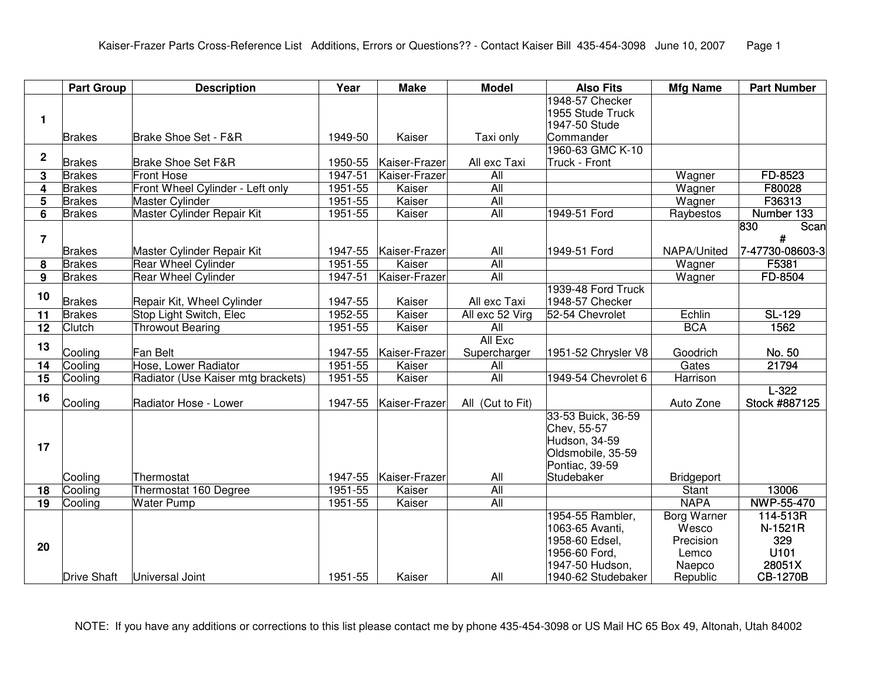|                 | <b>Part Group</b>  | <b>Description</b>                 | Year    | <b>Make</b>   | <b>Model</b>     | <b>Also Fits</b>              | <b>Mfg Name</b>    | <b>Part Number</b> |
|-----------------|--------------------|------------------------------------|---------|---------------|------------------|-------------------------------|--------------------|--------------------|
|                 |                    |                                    |         |               |                  | 1948-57 Checker               |                    |                    |
| 1               |                    |                                    |         |               |                  | 1955 Stude Truck              |                    |                    |
|                 | <b>Brakes</b>      |                                    | 1949-50 | Kaiser        |                  | 1947-50 Stude                 |                    |                    |
|                 |                    | Brake Shoe Set - F&R               |         |               | Taxi only        | Commander<br>1960-63 GMC K-10 |                    |                    |
| $\mathbf{2}$    | <b>Brakes</b>      | <b>Brake Shoe Set F&amp;R</b>      | 1950-55 | Kaiser-Frazer | All exc Taxi     | Truck - Front                 |                    |                    |
| 3               | <b>Brakes</b>      | <b>Front Hose</b>                  | 1947-51 | Kaiser-Frazer | $\overline{All}$ |                               | Wagner             | FD-8523            |
| 4               | <b>Brakes</b>      | Front Wheel Cylinder - Left only   | 1951-55 | Kaiser        | All              |                               | Wagner             | F80028             |
| 5               | <b>Brakes</b>      | Master Cylinder                    | 1951-55 | Kaiser        | $\overline{All}$ |                               | Wagner             | F36313             |
| 6               | <b>Brakes</b>      | Master Cylinder Repair Kit         | 1951-55 | Kaiser        | All              | 1949-51 Ford                  | Raybestos          | Number 133         |
|                 |                    |                                    |         |               |                  |                               |                    | 830<br>Scan        |
| $\overline{7}$  |                    |                                    |         |               |                  |                               |                    | $\#$               |
|                 | <b>Brakes</b>      | Master Cylinder Repair Kit         | 1947-55 | Kaiser-Frazer | All              | 1949-51 Ford                  | NAPA/United        | 7-47730-08603-3    |
| 8               | <b>Brakes</b>      | Rear Wheel Cylinder                | 1951-55 | Kaiser        | <b>All</b>       |                               | Wagner             | F5381              |
| 9               | <b>Brakes</b>      | <b>Rear Wheel Cylinder</b>         | 1947-51 | Kaiser-Frazer | All              |                               | Wagner             | FD-8504            |
| 10              |                    |                                    |         |               |                  | 1939-48 Ford Truck            |                    |                    |
|                 | <b>Brakes</b>      | Repair Kit, Wheel Cylinder         | 1947-55 | Kaiser        | All exc Taxi     | 1948-57 Checker               |                    |                    |
| 11              | <b>Brakes</b>      | Stop Light Switch, Elec            | 1952-55 | Kaiser        | All exc 52 Virg  | 52-54 Chevrolet               | Echlin             | SL-129             |
| $\overline{12}$ | Clutch             | <b>Throwout Bearing</b>            | 1951-55 | Kaiser        | $\overline{All}$ |                               | <b>BCA</b>         | 1562               |
| 13              |                    |                                    |         |               | All Exc          |                               |                    |                    |
|                 | Cooling            | Fan Belt                           | 1947-55 | Kaiser-Frazer | Supercharger     | 1951-52 Chrysler V8           | Goodrich           | No. 50             |
| 14              | Cooling            | Hose, Lower Radiator               | 1951-55 | Kaiser        | All              |                               | Gates              | 21794              |
| $\overline{15}$ | Cooling            | Radiator (Use Kaiser mtg brackets) | 1951-55 | Kaiser        | All              | 1949-54 Chevrolet 6           | <b>Harrison</b>    |                    |
| 16              |                    |                                    |         |               |                  |                               |                    | $L-322$            |
|                 | Cooling            | Radiator Hose - Lower              | 1947-55 | Kaiser-Frazer | All (Cut to Fit) | 33-53 Buick, 36-59            | Auto Zone          | Stock #887125      |
|                 |                    |                                    |         |               |                  | Chev, 55-57                   |                    |                    |
|                 |                    |                                    |         |               |                  | Hudson, 34-59                 |                    |                    |
| 17              |                    |                                    |         |               |                  | Oldsmobile, 35-59             |                    |                    |
|                 |                    |                                    |         |               |                  | Pontiac, 39-59                |                    |                    |
|                 | Cooling            | Thermostat                         | 1947-55 | Kaiser-Frazer | All              | Studebaker                    | Bridgeport         |                    |
| 18              | Cooling            | Thermostat 160 Degree              | 1951-55 | Kaiser        | All              |                               | Stant              | 13006              |
| $\overline{19}$ | Cooling            | <b>Water Pump</b>                  | 1951-55 | Kaiser        | All              |                               | <b>NAPA</b>        | NWP-55-470         |
|                 |                    |                                    |         |               |                  | 1954-55 Rambler,              | <b>Borg Warner</b> | 114-513R           |
|                 |                    |                                    |         |               |                  | 1063-65 Avanti,               | Wesco              | N-1521R            |
| 20              |                    |                                    |         |               |                  | 1958-60 Edsel,                | Precision          | 329                |
|                 |                    |                                    |         |               |                  | 1956-60 Ford,                 | Lemco              | U101               |
|                 |                    |                                    |         |               |                  | 1947-50 Hudson,               | Naepco             | 28051X             |
|                 | <b>Drive Shaft</b> | Universal Joint                    | 1951-55 | Kaiser        | All              | 1940-62 Studebaker            | Republic           | <b>CB-1270B</b>    |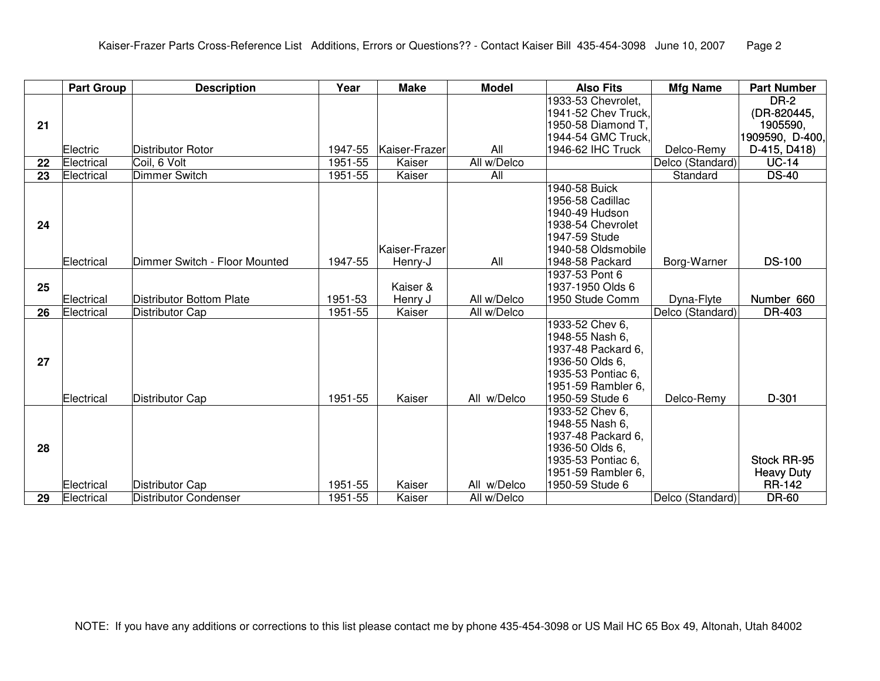|    | <b>Part Group</b> | <b>Description</b>              | Year    | <b>Make</b>         | <b>Model</b> | <b>Also Fits</b>                    | <b>Mfg Name</b>  | <b>Part Number</b> |
|----|-------------------|---------------------------------|---------|---------------------|--------------|-------------------------------------|------------------|--------------------|
|    |                   |                                 |         |                     |              | 1933-53 Chevrolet,                  |                  | <b>DR-2</b>        |
|    |                   |                                 |         |                     |              | 1941-52 Chev Truck,                 |                  | (DR-820445,        |
| 21 |                   |                                 |         |                     |              | 1950-58 Diamond T.                  |                  | 1905590,           |
|    |                   |                                 |         |                     |              | 1944-54 GMC Truck,                  |                  | 1909590,D-400,     |
|    | Electric          | Distributor Rotor               | 1947-55 | Kaiser-Frazer       | All          | 1946-62 IHC Truck                   | Delco-Remy       | D-415, D418)       |
| 22 | Electrical        | Coil, 6 Volt                    | 1951-55 | Kaiser              | All w/Delco  |                                     | Delco (Standard) | <b>UC-14</b>       |
| 23 | Electrical        | <b>Dimmer Switch</b>            | 1951-55 | Kaiser              | All          |                                     | Standard         | <b>DS-40</b>       |
|    |                   |                                 |         |                     |              | 1940-58 Buick                       |                  |                    |
|    |                   |                                 |         |                     |              | 1956-58 Cadillac                    |                  |                    |
|    |                   |                                 |         |                     |              | 1940-49 Hudson                      |                  |                    |
| 24 |                   |                                 |         |                     |              | 1938-54 Chevrolet                   |                  |                    |
|    |                   |                                 |         |                     |              | 1947-59 Stude                       |                  |                    |
|    |                   |                                 |         | Kaiser-Frazer       |              | 1940-58 Oldsmobile                  |                  |                    |
|    | Electrical        | Dimmer Switch - Floor Mounted   | 1947-55 | Henry-J             | All          | 1948-58 Packard                     | Borg-Warner      | <b>DS-100</b>      |
|    |                   |                                 |         |                     |              | 1937-53 Pont 6                      |                  |                    |
| 25 | Electrical        | <b>Distributor Bottom Plate</b> | 1951-53 | Kaiser &<br>Henry J | All w/Delco  | 1937-1950 Olds 6<br>1950 Stude Comm | Dyna-Flyte       | Number 660         |
| 26 | Electrical        | Distributor Cap                 | 1951-55 | Kaiser              | All w/Delco  |                                     | Delco (Standard) | DR-403             |
|    |                   |                                 |         |                     |              | 1933-52 Chev 6,                     |                  |                    |
|    |                   |                                 |         |                     |              | 1948-55 Nash 6,                     |                  |                    |
|    |                   |                                 |         |                     |              | 1937-48 Packard 6,                  |                  |                    |
| 27 |                   |                                 |         |                     |              | 1936-50 Olds 6,                     |                  |                    |
|    |                   |                                 |         |                     |              | 1935-53 Pontiac 6,                  |                  |                    |
|    |                   |                                 |         |                     |              | 1951-59 Rambler 6,                  |                  |                    |
|    | Electrical        | <b>Distributor Cap</b>          | 1951-55 | Kaiser              | All w/Delco  | 1950-59 Stude 6                     | Delco-Remy       | $D-301$            |
|    |                   |                                 |         |                     |              | 1933-52 Chev 6,                     |                  |                    |
|    |                   |                                 |         |                     |              | 1948-55 Nash 6,                     |                  |                    |
|    |                   |                                 |         |                     |              | 1937-48 Packard 6,                  |                  |                    |
| 28 |                   |                                 |         |                     |              | 1936-50 Olds 6,                     |                  |                    |
|    |                   |                                 |         |                     |              | 1935-53 Pontiac 6,                  |                  | Stock RR-95        |
|    |                   |                                 |         |                     |              | 1951-59 Rambler 6,                  |                  | <b>Heavy Duty</b>  |
|    | Electrical        | Distributor Cap                 | 1951-55 | Kaiser              | All w/Delco  | 1950-59 Stude 6                     |                  | <b>RR-142</b>      |
| 29 | Electrical        | Distributor Condenser           | 1951-55 | Kaiser              | All w/Delco  |                                     | Delco (Standard) | <b>DR-60</b>       |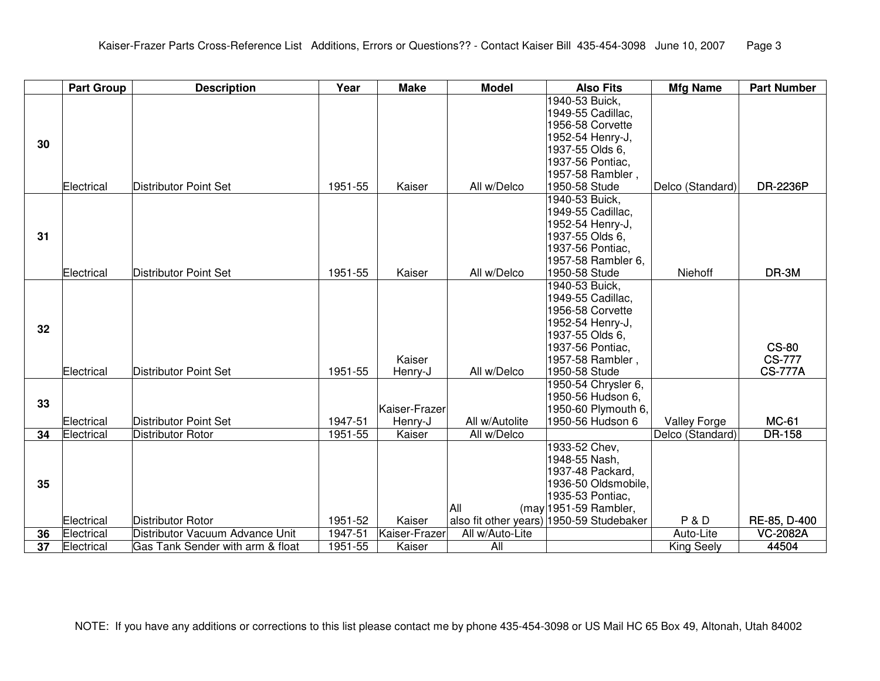|    | <b>Part Group</b> | <b>Description</b>               | Year    | <b>Make</b>   | <b>Model</b>    | <b>Also Fits</b>                                                  | <b>Mfg Name</b>     | <b>Part Number</b> |
|----|-------------------|----------------------------------|---------|---------------|-----------------|-------------------------------------------------------------------|---------------------|--------------------|
|    |                   |                                  |         |               |                 | 1940-53 Buick,<br>1949-55 Cadillac,                               |                     |                    |
|    |                   |                                  |         |               |                 | 1956-58 Corvette                                                  |                     |                    |
|    |                   |                                  |         |               |                 | 1952-54 Henry-J,                                                  |                     |                    |
| 30 |                   |                                  |         |               |                 | 1937-55 Olds 6,                                                   |                     |                    |
|    |                   |                                  |         |               |                 | 1937-56 Pontiac,                                                  |                     |                    |
|    |                   |                                  |         |               |                 | 1957-58 Rambler,                                                  |                     |                    |
|    | Electrical        | Distributor Point Set            | 1951-55 | Kaiser        | All w/Delco     | 1950-58 Stude                                                     | Delco (Standard)    | DR-2236P           |
|    |                   |                                  |         |               |                 | 1940-53 Buick,                                                    |                     |                    |
|    |                   |                                  |         |               |                 | 1949-55 Cadillac,                                                 |                     |                    |
|    |                   |                                  |         |               |                 | 1952-54 Henry-J,                                                  |                     |                    |
| 31 |                   |                                  |         |               |                 | 1937-55 Olds 6,                                                   |                     |                    |
|    |                   |                                  |         |               |                 | 1937-56 Pontiac,                                                  |                     |                    |
|    |                   |                                  |         |               |                 | 1957-58 Rambler 6,                                                |                     |                    |
|    | Electrical        | Distributor Point Set            | 1951-55 | Kaiser        | All w/Delco     | 1950-58 Stude                                                     | Niehoff             | DR-3M              |
|    |                   |                                  |         |               |                 | 1940-53 Buick,                                                    |                     |                    |
|    |                   |                                  |         |               |                 | 1949-55 Cadillac,                                                 |                     |                    |
|    |                   |                                  |         |               |                 | 1956-58 Corvette                                                  |                     |                    |
| 32 |                   |                                  |         |               |                 | 1952-54 Henry-J,                                                  |                     |                    |
|    |                   |                                  |         |               |                 | 1937-55 Olds 6,                                                   |                     |                    |
|    |                   |                                  |         |               |                 | 1937-56 Pontiac,                                                  |                     | <b>CS-80</b>       |
|    |                   |                                  |         | Kaiser        |                 | 1957-58 Rambler,                                                  |                     | <b>CS-777</b>      |
|    | Electrical        | Distributor Point Set            | 1951-55 | Henry-J       | All w/Delco     | 1950-58 Stude                                                     |                     | <b>CS-777A</b>     |
|    |                   |                                  |         |               |                 | 1950-54 Chrysler 6,                                               |                     |                    |
| 33 |                   |                                  |         |               |                 | 1950-56 Hudson 6,                                                 |                     |                    |
|    |                   |                                  |         | Kaiser-Frazer |                 | 1950-60 Plymouth 6,                                               |                     |                    |
|    | Electrical        | Distributor Point Set            | 1947-51 | Henry-J       | All w/Autolite  | 1950-56 Hudson 6                                                  | <b>Valley Forge</b> | <b>MC-61</b>       |
| 34 | Electrical        | <b>Distributor Rotor</b>         | 1951-55 | Kaiser        | All w/Delco     |                                                                   | Delco (Standard)    | <b>DR-158</b>      |
|    |                   |                                  |         |               |                 | 1933-52 Chev,                                                     |                     |                    |
|    |                   |                                  |         |               |                 | 1948-55 Nash,                                                     |                     |                    |
|    |                   |                                  |         |               |                 | 1937-48 Packard,                                                  |                     |                    |
| 35 |                   |                                  |         |               |                 | 1936-50 Oldsmobile,                                               |                     |                    |
|    |                   |                                  |         |               | All             | 1935-53 Pontiac,                                                  |                     |                    |
|    | Electrical        | Distributor Rotor                | 1951-52 | Kaiser        |                 | (may 1951-59 Rambler,<br>also fit other years) 1950-59 Studebaker | P&D                 | RE-85, D-400       |
| 36 | Electrical        | Distributor Vacuum Advance Unit  | 1947-51 | Kaiser-Frazer | All w/Auto-Lite |                                                                   | Auto-Lite           | <b>VC-2082A</b>    |
| 37 | Electrical        | Gas Tank Sender with arm & float | 1951-55 | Kaiser        | All             |                                                                   | <b>King Seely</b>   | 44504              |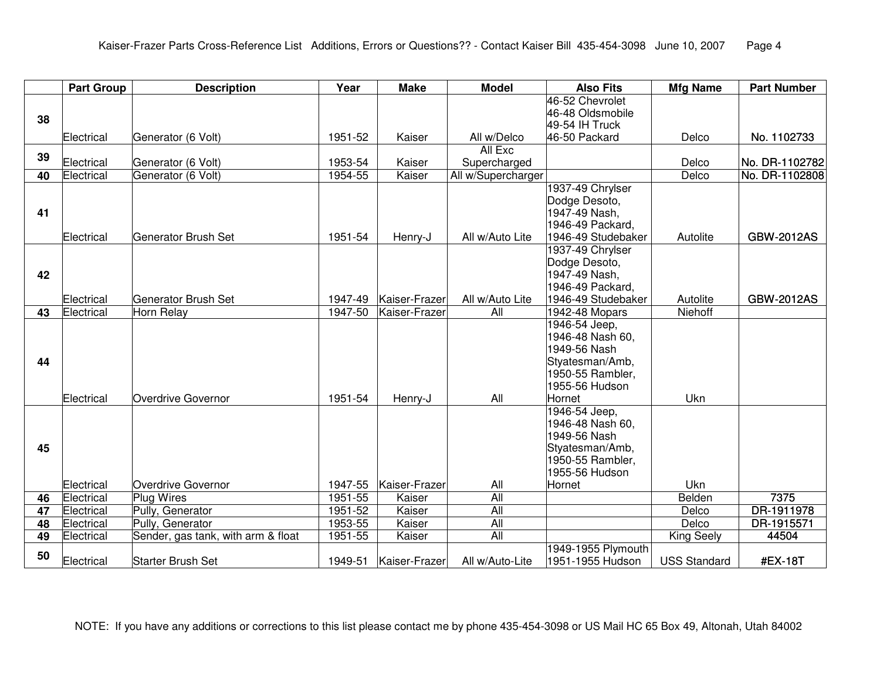|                 | <b>Part Group</b> | <b>Description</b>                 | Year    | <b>Make</b>   | <b>Model</b>       | <b>Also Fits</b>                       | <b>Mfg Name</b>     | <b>Part Number</b> |
|-----------------|-------------------|------------------------------------|---------|---------------|--------------------|----------------------------------------|---------------------|--------------------|
|                 |                   |                                    |         |               |                    | 46-52 Chevrolet                        |                     |                    |
| 38              |                   |                                    |         |               |                    | 46-48 Oldsmobile                       |                     |                    |
|                 | Electrical        | Generator (6 Volt)                 | 1951-52 | Kaiser        | All w/Delco        | 49-54 IH Truck<br>46-50 Packard        | Delco               | No. 1102733        |
|                 |                   |                                    |         |               | All Exc            |                                        |                     |                    |
| 39              | Electrical        | Generator (6 Volt)                 | 1953-54 | Kaiser        | Supercharged       |                                        | Delco               | No. DR-1102782     |
| $\overline{40}$ | Electrical        | Generator (6 Volt)                 | 1954-55 | Kaiser        | All w/Supercharger |                                        | Delco               | No. DR-1102808     |
|                 |                   |                                    |         |               |                    | 1937-49 Chrylser                       |                     |                    |
|                 |                   |                                    |         |               |                    | Dodge Desoto,                          |                     |                    |
| 41              |                   |                                    |         |               |                    | 1947-49 Nash,                          |                     |                    |
|                 |                   |                                    |         |               |                    | 1946-49 Packard,                       |                     |                    |
|                 | Electrical        | Generator Brush Set                | 1951-54 | Henry-J       | All w/Auto Lite    | 1946-49 Studebaker                     | Autolite            | <b>GBW-2012AS</b>  |
|                 |                   |                                    |         |               |                    | 1937-49 Chrylser                       |                     |                    |
|                 |                   |                                    |         |               |                    | Dodge Desoto,                          |                     |                    |
| 42              |                   |                                    |         |               |                    | 1947-49 Nash,<br>1946-49 Packard,      |                     |                    |
|                 | Electrical        | Generator Brush Set                | 1947-49 | Kaiser-Frazer | All w/Auto Lite    | 1946-49 Studebaker                     | Autolite            | <b>GBW-2012AS</b>  |
| 43              | Electrical        | Horn Relay                         | 1947-50 | Kaiser-Frazer | All                | 1942-48 Mopars                         | Niehoff             |                    |
|                 |                   |                                    |         |               |                    | 1946-54 Jeep,                          |                     |                    |
|                 |                   |                                    |         |               |                    | 1946-48 Nash 60,                       |                     |                    |
|                 |                   |                                    |         |               |                    | 1949-56 Nash                           |                     |                    |
| 44              |                   |                                    |         |               |                    | Styatesman/Amb,                        |                     |                    |
|                 |                   |                                    |         |               |                    | 1950-55 Rambler,                       |                     |                    |
|                 |                   |                                    |         |               |                    | 1955-56 Hudson                         |                     |                    |
|                 | Electrical        | Overdrive Governor                 | 1951-54 | Henry-J       | All                | Hornet                                 | Ukn                 |                    |
|                 |                   |                                    |         |               |                    | 1946-54 Jeep,<br>1946-48 Nash 60,      |                     |                    |
|                 |                   |                                    |         |               |                    | 1949-56 Nash                           |                     |                    |
| 45              |                   |                                    |         |               |                    | Styatesman/Amb,                        |                     |                    |
|                 |                   |                                    |         |               |                    | 1950-55 Rambler,                       |                     |                    |
|                 |                   |                                    |         |               |                    | 1955-56 Hudson                         |                     |                    |
|                 | Electrical        | Overdrive Governor                 | 1947-55 | Kaiser-Frazer | All                | Hornet                                 | Ukn                 |                    |
| 46              | Electrical        | <b>Plug Wires</b>                  | 1951-55 | Kaiser        | All                |                                        | Belden              | 7375               |
| $\overline{47}$ | Electrical        | Pully, Generator                   | 1951-52 | Kaiser        | All                |                                        | Delco               | DR-1911978         |
| 48              | Electrical        | Pully, Generator                   | 1953-55 | Kaiser        | $\overline{All}$   |                                        | Delco               | DR-1915571         |
| 49              | Electrical        | Sender, gas tank, with arm & float | 1951-55 | Kaiser        | All                |                                        | <b>King Seely</b>   | 44504              |
| 50              | Electrical        | Starter Brush Set                  | 1949-51 | Kaiser-Frazer | All w/Auto-Lite    | 1949-1955 Plymouth<br>1951-1955 Hudson | <b>USS Standard</b> | #EX-18T            |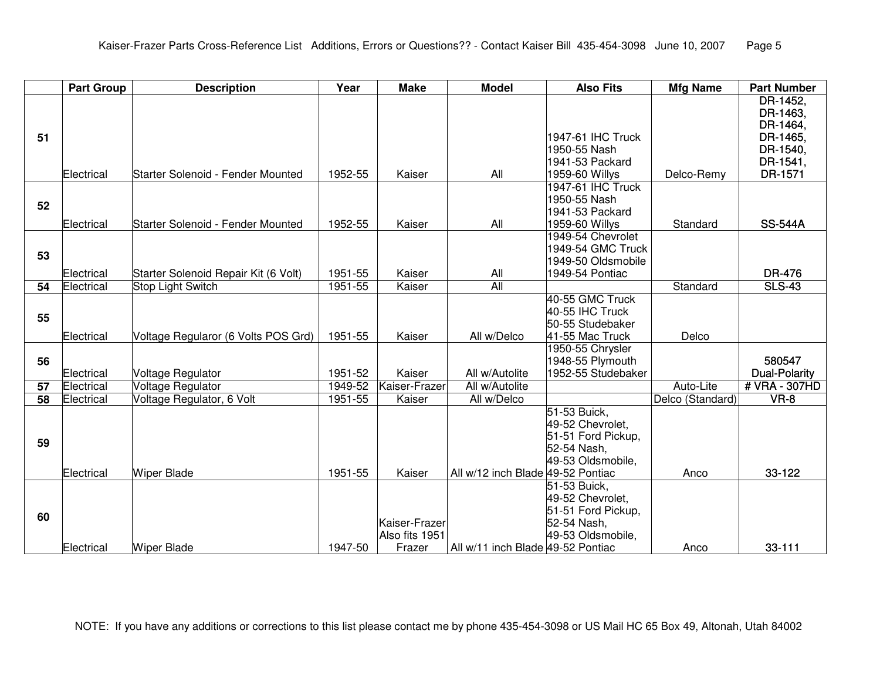|                 | <b>Part Group</b> | <b>Description</b>                   | Year               | <b>Make</b>    | <b>Model</b>                      | <b>Also Fits</b>                  | <b>Mfg Name</b>  | <b>Part Number</b>      |
|-----------------|-------------------|--------------------------------------|--------------------|----------------|-----------------------------------|-----------------------------------|------------------|-------------------------|
|                 |                   |                                      |                    |                |                                   |                                   |                  | DR-1452,                |
|                 |                   |                                      |                    |                |                                   |                                   |                  | DR-1463,                |
|                 |                   |                                      |                    |                |                                   |                                   |                  | DR-1464,                |
| 51              |                   |                                      |                    |                |                                   | 1947-61 IHC Truck                 |                  | DR-1465,                |
|                 |                   |                                      |                    |                |                                   | 1950-55 Nash                      |                  | DR-1540,                |
|                 |                   |                                      |                    |                |                                   | 1941-53 Packard                   |                  | DR-1541,                |
|                 | Electrical        | Starter Solenoid - Fender Mounted    | 1952-55            | Kaiser         | All                               | 1959-60 Willys                    | Delco-Remy       | DR-1571                 |
|                 |                   |                                      |                    |                |                                   | 1947-61 IHC Truck                 |                  |                         |
| 52              |                   |                                      |                    |                |                                   | 1950-55 Nash                      |                  |                         |
|                 |                   |                                      |                    |                |                                   | 1941-53 Packard                   |                  |                         |
|                 | Electrical        | Starter Solenoid - Fender Mounted    | 1952-55            | Kaiser         | All                               | 1959-60 Willys                    | Standard         | <b>SS-544A</b>          |
|                 |                   |                                      |                    |                |                                   | 1949-54 Chevrolet                 |                  |                         |
| 53              |                   |                                      |                    |                |                                   | 1949-54 GMC Truck                 |                  |                         |
|                 |                   |                                      |                    |                |                                   | 1949-50 Oldsmobile                |                  |                         |
|                 | Electrical        | Starter Solenoid Repair Kit (6 Volt) | 1951-55            | Kaiser         | All                               | 1949-54 Pontiac                   |                  | DR-476                  |
| 54              | Electrical        | <b>Stop Light Switch</b>             | 1951-55            | Kaiser         | All                               |                                   | Standard         | <b>SLS-43</b>           |
|                 |                   |                                      |                    |                |                                   | 40-55 GMC Truck                   |                  |                         |
| 55              |                   |                                      |                    |                |                                   | 40-55 IHC Truck                   |                  |                         |
|                 |                   |                                      |                    |                |                                   | 50-55 Studebaker                  |                  |                         |
|                 | Electrical        | Voltage Regularor (6 Volts POS Grd)  | 1951-55            | Kaiser         | All w/Delco                       | 41-55 Mac Truck                   | Delco            |                         |
|                 |                   |                                      |                    |                |                                   | 1950-55 Chrysler                  |                  |                         |
| 56              |                   |                                      |                    |                |                                   | 1948-55 Plymouth                  |                  | 580547                  |
|                 | Electrical        | <b>Voltage Regulator</b>             | 1951-52            | Kaiser         | All w/Autolite                    | 1952-55 Studebaker                |                  | <b>Dual-Polarity</b>    |
| 57              | Electrical        | Voltage Regulator                    | 1949-52<br>1951-55 | Kaiser-Frazer  | All w/Autolite<br>All w/Delco     |                                   | Auto-Lite        | # VRA - 307HD<br>$VR-8$ |
| $\overline{58}$ | Electrical        | Voltage Regulator, 6 Volt            |                    | Kaiser         |                                   |                                   | Delco (Standard) |                         |
|                 |                   |                                      |                    |                |                                   | 51-53 Buick,                      |                  |                         |
|                 |                   |                                      |                    |                |                                   | 49-52 Chevrolet,                  |                  |                         |
| 59              |                   |                                      |                    |                |                                   | 51-51 Ford Pickup,<br>52-54 Nash, |                  |                         |
|                 |                   |                                      |                    |                |                                   | 49-53 Oldsmobile,                 |                  |                         |
|                 | Electrical        | <b>Wiper Blade</b>                   | 1951-55            | Kaiser         | All w/12 inch Blade 49-52 Pontiac |                                   | Anco             | 33-122                  |
|                 |                   |                                      |                    |                |                                   | 51-53 Buick,                      |                  |                         |
|                 |                   |                                      |                    |                |                                   | 49-52 Chevrolet,                  |                  |                         |
|                 |                   |                                      |                    |                |                                   | 51-51 Ford Pickup,                |                  |                         |
| 60              |                   |                                      |                    | Kaiser-Frazer  |                                   | 52-54 Nash,                       |                  |                         |
|                 |                   |                                      |                    | Also fits 1951 |                                   | 49-53 Oldsmobile,                 |                  |                         |
|                 | lElectrical       | <b>Wiper Blade</b>                   | 1947-50            | Frazer         | All w/11 inch Blade 49-52 Pontiac |                                   | Anco             | 33-111                  |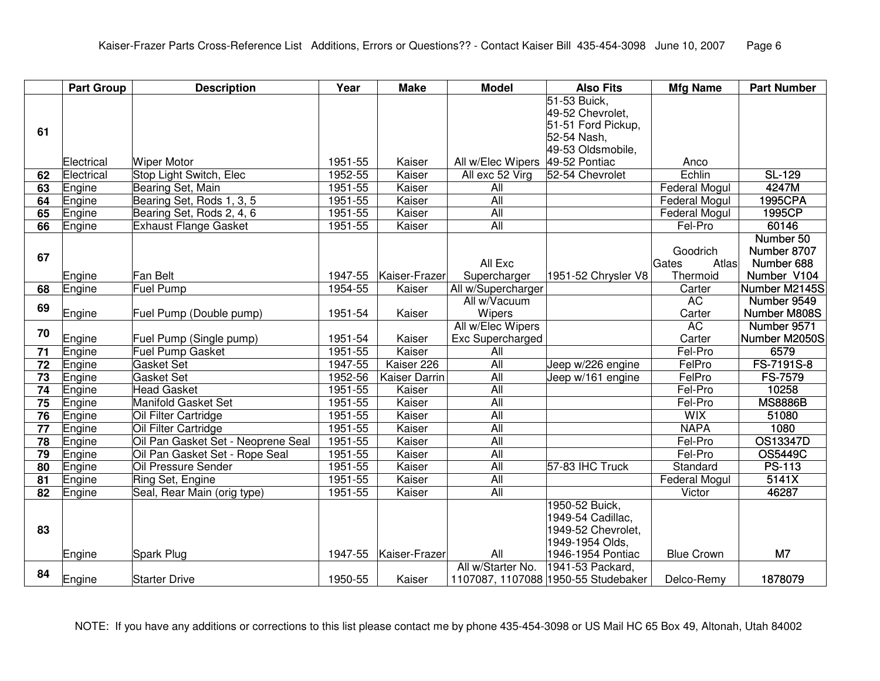|                 | <b>Part Group</b> | <b>Description</b>                           | Year               | <b>Make</b>          | <b>Model</b>       | <b>Also Fits</b>                    | <b>Mfg Name</b>       | <b>Part Number</b> |
|-----------------|-------------------|----------------------------------------------|--------------------|----------------------|--------------------|-------------------------------------|-----------------------|--------------------|
|                 |                   |                                              |                    |                      |                    | 51-53 Buick,                        |                       |                    |
|                 |                   |                                              |                    |                      |                    | 49-52 Chevrolet,                    |                       |                    |
| 61              |                   |                                              |                    |                      |                    | 51-51 Ford Pickup,<br>52-54 Nash,   |                       |                    |
|                 |                   |                                              |                    |                      |                    | 49-53 Oldsmobile,                   |                       |                    |
|                 | Electrical        | <b>Wiper Motor</b>                           | 1951-55            | Kaiser               | All w/Elec Wipers  | 49-52 Pontiac                       | Anco                  |                    |
| 62              | Electrical        | Stop Light Switch, Elec                      | 1952-55            | Kaiser               | All exc 52 Virg    | 52-54 Chevrolet                     | Echlin                | SL-129             |
| 63              | Engine            | Bearing Set, Main                            | 1951-55            | Kaiser               | All                |                                     | <b>Federal Mogul</b>  | 4247M              |
| 64              | Engine            | Bearing Set, Rods 1, 3, 5                    | 1951-55            | Kaiser               | All                |                                     | <b>Federal Mogul</b>  | 1995CPA            |
| 65              | Engine            | Bearing Set, Rods 2, 4, 6                    | 1951-55            | Kaiser               | All                |                                     | <b>Federal Mogul</b>  | 1995CP             |
| 66              | Engine            | <b>Exhaust Flange Gasket</b>                 | 1951-55            | Kaiser               | All                |                                     | Fel-Pro               | 60146              |
|                 |                   |                                              |                    |                      |                    |                                     |                       | Number 50          |
|                 |                   |                                              |                    |                      |                    |                                     | Goodrich              | Number 8707        |
| 67              |                   |                                              |                    |                      | All Exc            |                                     | Gates<br>Atlas        | Number 688         |
|                 | Engine            | <b>Fan Belt</b>                              | 1947-55            | Kaiser-Frazer        | Supercharger       | 1951-52 Chrysler V8                 | Thermoid              | Number V104        |
| 68              | Engine            | <b>Fuel Pump</b>                             | 1954-55            | Kaiser               | All w/Supercharger |                                     | Carter                | Number M2145S      |
| 69              |                   |                                              |                    |                      | All w/Vacuum       |                                     | <b>AC</b>             | Number 9549        |
|                 | Engine            | Fuel Pump (Double pump)                      | 1951-54            | Kaiser               | Wipers             |                                     | Carter                | Number M808S       |
| 70              |                   |                                              |                    |                      | All w/Elec Wipers  |                                     | <b>AC</b>             | Number 9571        |
|                 | Engine            | Fuel Pump (Single pump)                      | 1951-54            | Kaiser               | Exc Supercharged   |                                     | Carter                | Number M2050S      |
| 71              | Engine            | <b>Fuel Pump Gasket</b>                      | 1951-55            | Kaiser               | All                |                                     | Fel-Pro               | 6579               |
| $\overline{72}$ | Engine            | Gasket Set                                   | 1947-55            | Kaiser 226           | All                | Jeep w/226 engine                   | FelPro                | FS-7191S-8         |
| 73              | Engine            | <b>Gasket Set</b>                            | 1952-56            | <b>Kaiser Darrin</b> | All                | Jeep w/161 engine                   | FelPro                | <b>FS-7579</b>     |
| 74              | Engine            | <b>Head Gasket</b>                           | 1951-55            | Kaiser               | All<br>All         |                                     | Fel-Pro               | 10258              |
| 75              | Engine            | <b>Manifold Gasket Set</b>                   | 1951-55            | Kaiser               | All                |                                     | Fel-Pro<br><b>WIX</b> | <b>MS8886B</b>     |
| 76<br>77        | Engine<br>Engine  | Oil Filter Cartridge<br>Oil Filter Cartridge | 1951-55<br>1951-55 | Kaiser<br>Kaiser     | All                |                                     | <b>NAPA</b>           | 51080<br>1080      |
| 78              | Engine            | Oil Pan Gasket Set - Neoprene Seal           | 1951-55            | Kaiser               | All                |                                     | Fel-Pro               | OS13347D           |
| 79              | Engine            | Oil Pan Gasket Set - Rope Seal               | 1951-55            | Kaiser               | All                |                                     | Fel-Pro               | <b>OS5449C</b>     |
| $\overline{80}$ | Engine            | <b>Oil Pressure Sender</b>                   | 1951-55            | Kaiser               | All                | 57-83 IHC Truck                     | Standard              | <b>PS-113</b>      |
| 81              | Engine            | Ring Set, Engine                             | 1951-55            | Kaiser               | <b>All</b>         |                                     | Federal Mogul         | 5141X              |
| 82              | Engine            | Seal, Rear Main (orig type)                  | 1951-55            | Kaiser               | All                |                                     | Victor                | 46287              |
|                 |                   |                                              |                    |                      |                    | 1950-52 Buick,                      |                       |                    |
|                 |                   |                                              |                    |                      |                    | 1949-54 Cadillac,                   |                       |                    |
| 83              |                   |                                              |                    |                      |                    | 1949-52 Chevrolet,                  |                       |                    |
|                 |                   |                                              |                    |                      |                    | 1949-1954 Olds,                     |                       |                    |
|                 | Engine            | Spark Plug                                   | 1947-55            | Kaiser-Frazer        | All                | 1946-1954 Pontiac                   | <b>Blue Crown</b>     | M7                 |
|                 |                   |                                              |                    |                      | All w/Starter No.  | 1941-53 Packard,                    |                       |                    |
| 84              | Engine            | <b>Starter Drive</b>                         | 1950-55            | Kaiser               |                    | 1107087, 1107088 1950-55 Studebaker | Delco-Remy            | 1878079            |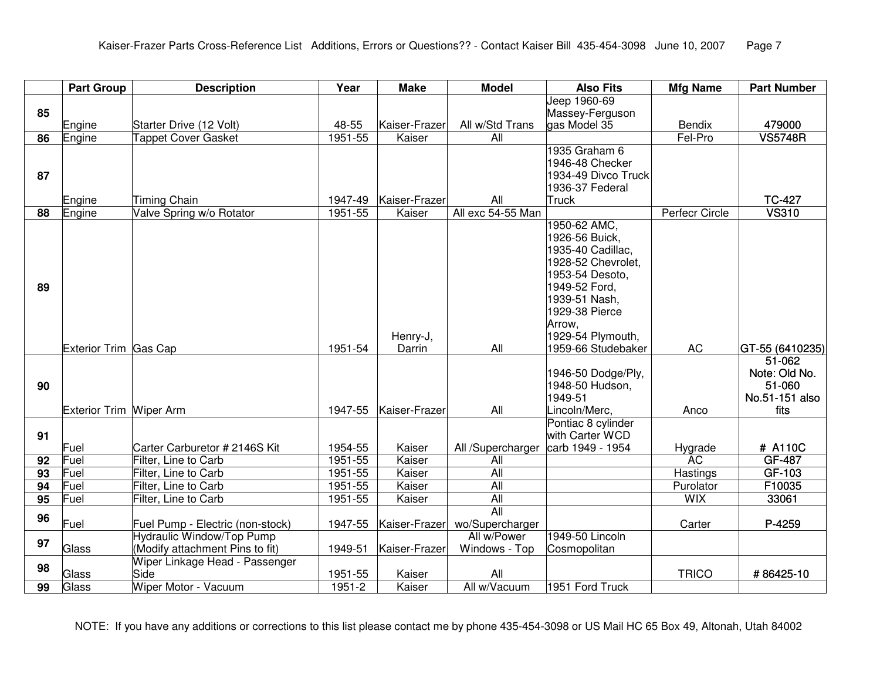|                 | <b>Part Group</b>       | <b>Description</b>                              | Year       | <b>Make</b>             | <b>Model</b>             | <b>Also Fits</b>                      | <b>Mfg Name</b> | <b>Part Number</b> |
|-----------------|-------------------------|-------------------------------------------------|------------|-------------------------|--------------------------|---------------------------------------|-----------------|--------------------|
|                 |                         |                                                 |            |                         |                          | Jeep 1960-69                          |                 |                    |
| 85              |                         |                                                 |            |                         |                          | Massey-Ferguson                       |                 |                    |
|                 | Engine                  | Starter Drive (12 Volt)                         | 48-55      | Kaiser-Frazer           | All w/Std Trans          | gas Model 35                          | <b>Bendix</b>   | 479000             |
| 86              | Engine                  | <b>Tappet Cover Gasket</b>                      | 1951-55    | Kaiser                  | All                      |                                       | Fel-Pro         | <b>VS5748R</b>     |
|                 |                         |                                                 |            |                         |                          | 1935 Graham 6                         |                 |                    |
|                 |                         |                                                 |            |                         |                          | 1946-48 Checker                       |                 |                    |
| 87              |                         |                                                 |            |                         |                          | 1934-49 Divco Truck                   |                 |                    |
|                 |                         |                                                 | 1947-49    |                         |                          | 1936-37 Federal                       |                 | <b>TC-427</b>      |
| 88              | Engine<br>Engine        | <b>Timing Chain</b><br>Valve Spring w/o Rotator | 1951-55    | Kaiser-Frazer<br>Kaiser | All<br>All exc 54-55 Man | <b>Truck</b>                          | Perfecr Circle  | <b>VS310</b>       |
|                 |                         |                                                 |            |                         |                          | 1950-62 AMC,                          |                 |                    |
|                 |                         |                                                 |            |                         |                          | 1926-56 Buick,                        |                 |                    |
|                 |                         |                                                 |            |                         |                          | 1935-40 Cadillac,                     |                 |                    |
|                 |                         |                                                 |            |                         |                          | 1928-52 Chevrolet.                    |                 |                    |
|                 |                         |                                                 |            |                         |                          | 1953-54 Desoto,                       |                 |                    |
| 89              |                         |                                                 |            |                         |                          | 1949-52 Ford,                         |                 |                    |
|                 |                         |                                                 |            |                         |                          | 1939-51 Nash,                         |                 |                    |
|                 |                         |                                                 |            |                         |                          | 1929-38 Pierce                        |                 |                    |
|                 |                         |                                                 |            |                         |                          | Arrow,                                |                 |                    |
|                 |                         |                                                 |            | Henry-J,                |                          | 1929-54 Plymouth,                     |                 |                    |
|                 | Exterior Trim Gas Cap   |                                                 | 1951-54    | Darrin                  | All                      | 1959-66 Studebaker                    | <b>AC</b>       | GT-55 (6410235)    |
|                 |                         |                                                 |            |                         |                          |                                       |                 | $51 - 062$         |
|                 |                         |                                                 |            |                         |                          | 1946-50 Dodge/Ply,                    |                 | Note: Old No.      |
| 90              |                         |                                                 |            |                         |                          | 1948-50 Hudson,                       |                 | 51-060             |
|                 |                         |                                                 |            |                         |                          | 1949-51                               |                 | No.51-151 also     |
|                 | Exterior Trim Wiper Arm |                                                 | 1947-55    | Kaiser-Frazer           | All                      | Lincoln/Merc,                         | Anco            | fits               |
| 91              |                         |                                                 |            |                         |                          | Pontiac 8 cylinder<br>with Carter WCD |                 |                    |
|                 | Fuel                    | Carter Carburetor # 2146S Kit                   | 1954-55    | Kaiser                  | All /Supercharger        | carb 1949 - 1954                      | Hygrade         | # A110C            |
| 92              | Fuel                    | Filter, Line to Carb                            | 1951-55    | Kaiser                  | All                      |                                       | <b>AC</b>       | GF-487             |
| 93              | Fuel                    | Filter, Line to Carb                            | 1951-55    | Kaiser                  | All                      |                                       | Hastings        | GF-103             |
| $\overline{94}$ | Fuel                    | Filter, Line to Carb                            | 1951-55    | Kaiser                  | All                      |                                       | Purolator       | F10035             |
| $\overline{95}$ | Fuel                    | Filter, Line to Carb                            | 1951-55    | Kaiser                  | <b>All</b>               |                                       | <b>WIX</b>      | 33061              |
| 96              |                         |                                                 |            |                         | All                      |                                       |                 |                    |
|                 | Fuel                    | Fuel Pump - Electric (non-stock)                | 1947-55    | Kaiser-Frazer           | wo/Supercharger          |                                       | Carter          | P-4259             |
| 97              |                         | <b>Hydraulic Window/Top Pump</b>                |            |                         | All w/Power              | 1949-50 Lincoln                       |                 |                    |
|                 | Glass                   | (Modify attachment Pins to fit)                 | 1949-51    | Kaiser-Frazer           | Windows - Top            | Cosmopolitan                          |                 |                    |
| 98              |                         | Wiper Linkage Head - Passenger                  |            |                         |                          |                                       |                 |                    |
|                 | Glass                   | Side                                            | 1951-55    | Kaiser                  | All                      |                                       | <b>TRICO</b>    | #86425-10          |
| 99              | Glass                   | Wiper Motor - Vacuum                            | $1951 - 2$ | Kaiser                  | All w/Vacuum             | 1951 Ford Truck                       |                 |                    |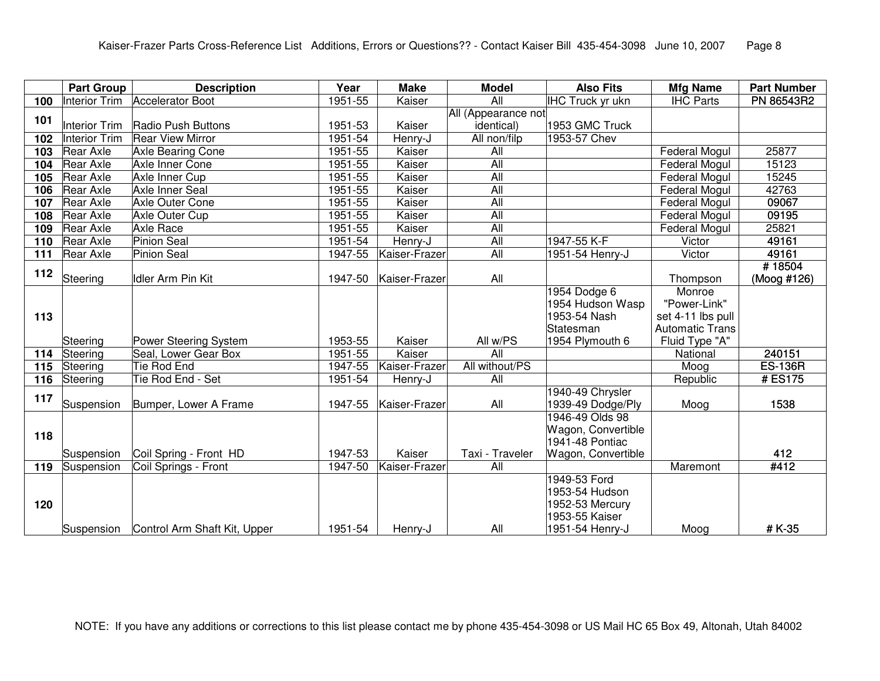|                   | <b>Part Group</b>    | <b>Description</b>           | Year    | <b>Make</b>   | <b>Model</b>        | <b>Also Fits</b>        | <b>Mfg Name</b>        | <b>Part Number</b> |
|-------------------|----------------------|------------------------------|---------|---------------|---------------------|-------------------------|------------------------|--------------------|
| 100               | <b>Interior Trim</b> | <b>Accelerator Boot</b>      | 1951-55 | Kaiser        | $\overline{All}$    | <b>IHC Truck yr ukn</b> | <b>IHC Parts</b>       | <b>PN 86543R2</b>  |
| 101               |                      |                              |         |               | All (Appearance not |                         |                        |                    |
|                   | <b>Interior Trim</b> | Radio Push Buttons           | 1951-53 | Kaiser        | <i>identical</i> )  | 1953 GMC Truck          |                        |                    |
| 102               | <b>Interior Trim</b> | <b>Rear View Mirror</b>      | 1951-54 | Henry-J       | All non/filp        | 1953-57 Chev            |                        |                    |
| 103               | <b>Rear Axle</b>     | Axle Bearing Cone            | 1951-55 | Kaiser        | $\overline{All}$    |                         | <b>Federal Mogul</b>   | 25877              |
| 104               | <b>Rear Axle</b>     | Axle Inner Cone              | 1951-55 | Kaiser        | All                 |                         | <b>Federal Mogul</b>   | 15123              |
| 105               | <b>Rear Axle</b>     | Axle Inner Cup               | 1951-55 | Kaiser        | All                 |                         | <b>Federal Mogul</b>   | 15245              |
| 106               | <b>Rear Axle</b>     | Axle Inner Seal              | 1951-55 | Kaiser        | $\overline{All}$    |                         | <b>Federal Mogul</b>   | 42763              |
| 107               | <b>Rear Axle</b>     | Axle Outer Cone              | 1951-55 | Kaiser        | All                 |                         | <b>Federal Mogul</b>   | 09067              |
| 108               | <b>Rear Axle</b>     | <b>Axle Outer Cup</b>        | 1951-55 | Kaiser        | All                 |                         | <b>Federal Mogul</b>   | 09195              |
| 109               | <b>Rear Axle</b>     | <b>Axle Race</b>             | 1951-55 | Kaiser        | All                 |                         | Federal Mogul          | 25821              |
| 110               | <b>Rear Axle</b>     | <b>Pinion Seal</b>           | 1951-54 | Henry-J       | $\overline{All}$    | 1947-55 K-F             | Victor                 | 49161              |
| 111               | Rear Axle            | <b>Pinion Seal</b>           | 1947-55 | Kaiser-Frazer | All                 | 1951-54 Henry-J         | Victor                 | 49161              |
| 112               |                      |                              |         |               |                     |                         |                        | #18504             |
|                   | Steering             | <b>Idler Arm Pin Kit</b>     | 1947-50 | Kaiser-Frazer | All                 |                         | Thompson               | (Moog #126)        |
|                   |                      |                              |         |               |                     | 1954 Dodge 6            | Monroe                 |                    |
|                   |                      |                              |         |               |                     | 1954 Hudson Wasp        | "Power-Link"           |                    |
| 113               |                      |                              |         |               |                     | 1953-54 Nash            | set 4-11 lbs pull      |                    |
|                   |                      |                              |         |               |                     | Statesman               | <b>Automatic Trans</b> |                    |
|                   | Steering             | Power Steering System        | 1953-55 | Kaiser        | All w/PS            | 1954 Plymouth 6         | Fluid Type "A"         |                    |
| 114               | Steering             | Seal, Lower Gear Box         | 1951-55 | Kaiser        | All                 |                         | National               | 240151             |
| 115               | Steering             | <b>Tie Rod End</b>           | 1947-55 | Kaiser-Frazer | All without/PS      |                         | Moog                   | <b>ES-136R</b>     |
| $\frac{116}{116}$ | Steering             | Tie Rod End - Set            | 1951-54 | Henry-J       | All                 |                         | Republic               | #ES175             |
| 117               |                      |                              |         |               |                     | 1940-49 Chrysler        |                        |                    |
|                   | Suspension           | Bumper, Lower A Frame        | 1947-55 | Kaiser-Frazer | All                 | 1939-49 Dodge/Ply       | Moog                   | 1538               |
|                   |                      |                              |         |               |                     | 1946-49 Olds 98         |                        |                    |
| 118               |                      |                              |         |               |                     | Wagon, Convertible      |                        |                    |
|                   |                      |                              |         |               |                     | 1941-48 Pontiac         |                        |                    |
|                   | Suspension           | Coil Spring - Front HD       | 1947-53 | Kaiser        | Taxi - Traveler     | Wagon, Convertible      |                        | 412                |
| 119               | Suspension           | Coil Springs - Front         | 1947-50 | Kaiser-Frazer | $\overline{All}$    |                         | Maremont               | #412               |
|                   |                      |                              |         |               |                     | 1949-53 Ford            |                        |                    |
|                   |                      |                              |         |               |                     | 1953-54 Hudson          |                        |                    |
| 120               |                      |                              |         |               |                     | 1952-53 Mercury         |                        |                    |
|                   |                      |                              |         |               |                     | 1953-55 Kaiser          |                        |                    |
|                   | Suspension           | Control Arm Shaft Kit, Upper | 1951-54 | Henry-J       | All                 | 1951-54 Henry-J         | Moog                   | #K-35              |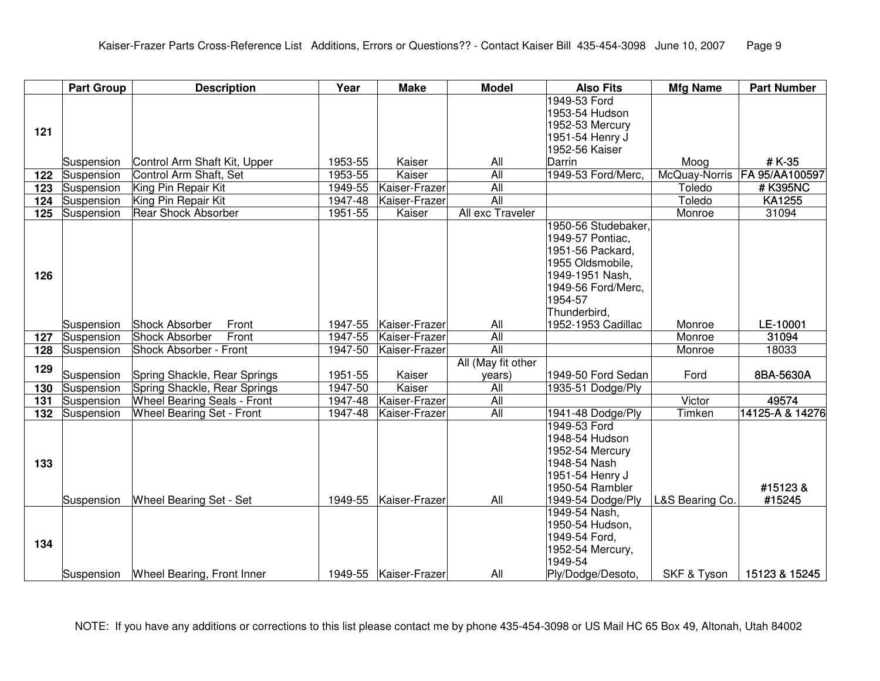|                 | <b>Part Group</b> | <b>Description</b>                 | Year    | <b>Make</b>           | <b>Model</b>       | <b>Also Fits</b>                   | <b>Mfg Name</b> | <b>Part Number</b>             |
|-----------------|-------------------|------------------------------------|---------|-----------------------|--------------------|------------------------------------|-----------------|--------------------------------|
|                 |                   |                                    |         |                       |                    | 1949-53 Ford                       |                 |                                |
|                 |                   |                                    |         |                       |                    | 1953-54 Hudson                     |                 |                                |
| 121             |                   |                                    |         |                       |                    | 1952-53 Mercury                    |                 |                                |
|                 |                   |                                    |         |                       |                    | 1951-54 Henry J                    |                 |                                |
|                 |                   |                                    |         |                       |                    | 1952-56 Kaiser                     |                 |                                |
|                 | Suspension        | Control Arm Shaft Kit, Upper       | 1953-55 | Kaiser                | All                | Darrin                             | Moog            | #K-35                          |
| 122             | Suspension        | Control Arm Shaft, Set             | 1953-55 | Kaiser                | $\overline{All}$   | 1949-53 Ford/Merc,                 |                 | McQuay-Norris   FA 95/AA100597 |
| 123             | Suspension        | King Pin Repair Kit                | 1949-55 | Kaiser-Frazer         | $\overline{All}$   |                                    | Toledo          | # K395NC                       |
| 124             | Suspension        | King Pin Repair Kit                | 1947-48 | Kaiser-Frazer         | All                |                                    | Toledo          | KA1255                         |
| 125             | Suspension        | <b>Rear Shock Absorber</b>         | 1951-55 | Kaiser                | All exc Traveler   |                                    | Monroe          | 31094                          |
|                 |                   |                                    |         |                       |                    | 1950-56 Studebaker,                |                 |                                |
|                 |                   |                                    |         |                       |                    | 1949-57 Pontiac,                   |                 |                                |
|                 |                   |                                    |         |                       |                    | 1951-56 Packard,                   |                 |                                |
|                 |                   |                                    |         |                       |                    | 1955 Oldsmobile,                   |                 |                                |
| 126             |                   |                                    |         |                       |                    | 1949-1951 Nash,                    |                 |                                |
|                 |                   |                                    |         |                       |                    | 1949-56 Ford/Merc,                 |                 |                                |
|                 |                   |                                    |         |                       |                    | 1954-57                            |                 |                                |
|                 | Suspension        | <b>Shock Absorber</b><br>Front     | 1947-55 | Kaiser-Frazer         | All                | Thunderbird,<br>1952-1953 Cadillac | Monroe          | LE-10001                       |
| 127             | Suspension        | <b>Shock Absorber</b><br>Front     | 1947-55 | Kaiser-Frazer         | All                |                                    | Monroe          | 31094                          |
| 128             | Suspension        | Shock Absorber - Front             | 1947-50 | Kaiser-Frazer         | $\overline{All}$   |                                    | Monroe          | 18033                          |
|                 |                   |                                    |         |                       | All (May fit other |                                    |                 |                                |
| 129             | Suspension        | Spring Shackle, Rear Springs       | 1951-55 | Kaiser                | years)             | 1949-50 Ford Sedan                 | Ford            | 8BA-5630A                      |
| 130             | Suspension        | Spring Shackle, Rear Springs       | 1947-50 | Kaiser                | $\overline{All}$   | 1935-51 Dodge/Ply                  |                 |                                |
| 131             | Suspension        | <b>Wheel Bearing Seals - Front</b> | 1947-48 | Kaiser-Frazer         | All                |                                    | Victor          | 49574                          |
| $\frac{1}{132}$ | Suspension        | <b>Wheel Bearing Set - Front</b>   | 1947-48 | Kaiser-Frazer         | All                | 1941-48 Dodge/Ply                  | Timken          | 14125-A & 14276                |
|                 |                   |                                    |         |                       |                    | 1949-53 Ford                       |                 |                                |
|                 |                   |                                    |         |                       |                    | 1948-54 Hudson                     |                 |                                |
|                 |                   |                                    |         |                       |                    | 1952-54 Mercury                    |                 |                                |
| 133             |                   |                                    |         |                       |                    | 1948-54 Nash                       |                 |                                |
|                 |                   |                                    |         |                       |                    | 1951-54 Henry J                    |                 |                                |
|                 |                   |                                    |         |                       |                    | 1950-54 Rambler                    |                 | #15123 &                       |
|                 | Suspension        | Wheel Bearing Set - Set            | 1949-55 | Kaiser-Frazer         | All                | 1949-54 Dodge/Ply                  | L&S Bearing Co. | #15245                         |
|                 |                   |                                    |         |                       |                    | 1949-54 Nash,                      |                 |                                |
|                 |                   |                                    |         |                       |                    | 1950-54 Hudson,                    |                 |                                |
| 134             |                   |                                    |         |                       |                    | 1949-54 Ford,                      |                 |                                |
|                 |                   |                                    |         |                       |                    | 1952-54 Mercury,                   |                 |                                |
|                 |                   |                                    |         |                       |                    | 1949-54                            |                 |                                |
|                 | Suspension        | Wheel Bearing, Front Inner         |         | 1949-55 Kaiser-Frazer | All                | Ply/Dodge/Desoto,                  | SKF & Tyson     | 15123 & 15245                  |